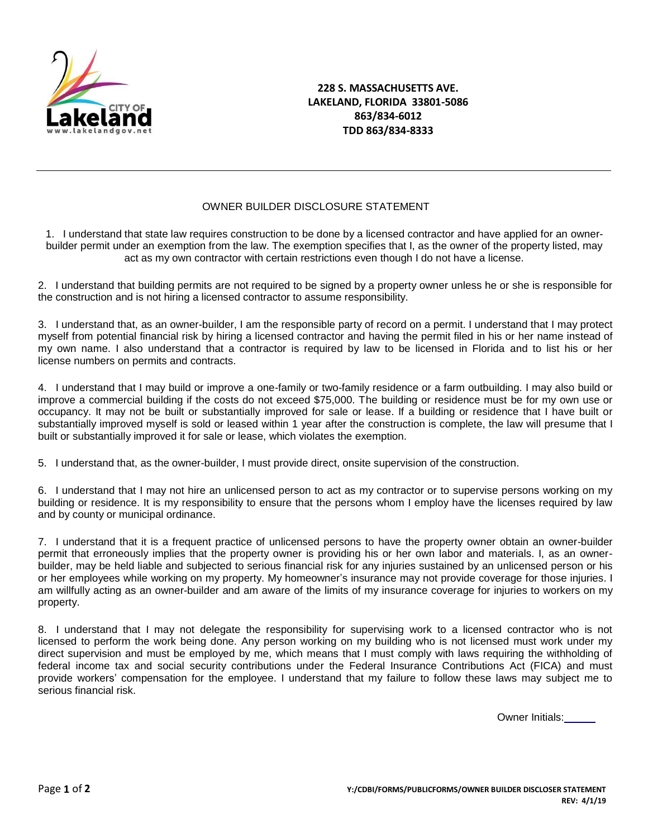

## **228 S. MASSACHUSETTS AVE. LAKELAND, FLORIDA 33801-5086 863/834-6012 TDD 863/834-8333**

## OWNER BUILDER DISCLOSURE STATEMENT

1. I understand that state law requires construction to be done by a licensed contractor and have applied for an ownerbuilder permit under an exemption from the law. The exemption specifies that I, as the owner of the property listed, may act as my own contractor with certain restrictions even though I do not have a license.

2. I understand that building permits are not required to be signed by a property owner unless he or she is responsible for the construction and is not hiring a licensed contractor to assume responsibility.

3. I understand that, as an owner-builder, I am the responsible party of record on a permit. I understand that I may protect myself from potential financial risk by hiring a licensed contractor and having the permit filed in his or her name instead of my own name. I also understand that a contractor is required by law to be licensed in Florida and to list his or her license numbers on permits and contracts.

4. I understand that I may build or improve a one-family or two-family residence or a farm outbuilding. I may also build or improve a commercial building if the costs do not exceed \$75,000. The building or residence must be for my own use or occupancy. It may not be built or substantially improved for sale or lease. If a building or residence that I have built or substantially improved myself is sold or leased within 1 year after the construction is complete, the law will presume that I built or substantially improved it for sale or lease, which violates the exemption.

5. I understand that, as the owner-builder, I must provide direct, onsite supervision of the construction.

6. I understand that I may not hire an unlicensed person to act as my contractor or to supervise persons working on my building or residence. It is my responsibility to ensure that the persons whom I employ have the licenses required by law and by county or municipal ordinance.

7. I understand that it is a frequent practice of unlicensed persons to have the property owner obtain an owner-builder permit that erroneously implies that the property owner is providing his or her own labor and materials. I, as an ownerbuilder, may be held liable and subjected to serious financial risk for any injuries sustained by an unlicensed person or his or her employees while working on my property. My homeowner's insurance may not provide coverage for those injuries. I am willfully acting as an owner-builder and am aware of the limits of my insurance coverage for injuries to workers on my property.

8. I understand that I may not delegate the responsibility for supervising work to a licensed contractor who is not licensed to perform the work being done. Any person working on my building who is not licensed must work under my direct supervision and must be employed by me, which means that I must comply with laws requiring the withholding of federal income tax and social security contributions under the Federal Insurance Contributions Act (FICA) and must provide workers' compensation for the employee. I understand that my failure to follow these laws may subject me to serious financial risk.

Owner Initials: